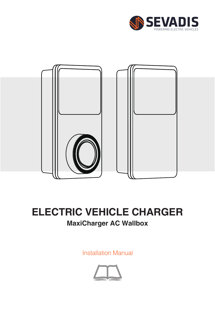



### **MaxiCharger AC Wallbox ELECTRIC VEHICLE CHARGER**

Installation Manual

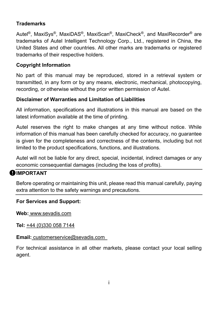#### **Trademarks**

Autel®, MaxiSys®, MaxiDAS®, MaxiScan®, MaxiCheck®, and MaxiRecorder® are trademarks of Autel Intelligent Technology Corp., Ltd., registered in China, the United States and other countries. All other marks are trademarks or registered trademarks of their respective holders.

#### **Copyright Information**

No part of this manual may be reproduced, stored in a retrieval system or transmitted, in any form or by any means, electronic, mechanical, photocopying, recording, or otherwise without the prior written permission of Autel.

#### **Disclaimer of Warranties and Limitation of Liabilities**

All information, specifications and illustrations in this manual are based on the latest information available at the time of printing.

Autel reserves the right to make changes at any time without notice. While information of this manual has been carefully checked for accuracy, no guarantee is given for the completeness and correctness of the contents, including but not limited to the product specifications, functions, and illustrations.

Autel will not be liable for any direct, special, incidental, indirect damages or any economic consequential damages (including the loss of profits).

#### **OIMPORTANT**

Before operating or maintaining this unit, please read this manual carefully, paying extra attention to the safety warnings and precautions.

#### **For Services and Support:**

**Web:** www.sevadis.com

**Tel:** +44 (0)330 058 7144

#### **Email:** customerservice@sevadis.com

For technical assistance in all other markets, please contact your local selling agent.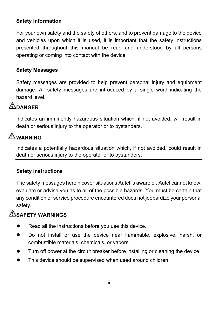#### **Safety Information**

For your own safety and the safety of others, and to prevent damage to the device and vehicles upon which it is used, it is important that the safety instructions presented throughout this manual be read and understood by all persons operating or coming into contact with the device.

#### **Safety Messages**

Safety messages are provided to help prevent personal injury and equipment damage. All safety messages are introduced by a single word indicating the hazard level.

### **DANGER**

Indicates an imminently hazardous situation which, if not avoided, will result in death or serious injury to the operator or to bystanders.

### **WARNING**

Indicates a potentially hazardous situation which, if not avoided, could result in death or serious injury to the operator or to bystanders.

#### **Safety Instructions**

The safety messages herein cover situations Autel is aware of. Autel cannot know, evaluate or advise you as to all of the possible hazards. You must be certain that any condition or service procedure encountered does not jeopardize your personal safety.

### **SAFETY WARNINGS**

- Read all the instructions before you use this device.
- Do not install or use the device near flammable, explosive, harsh, or combustible materials, chemicals, or vapors.
- **Turn off power at the circuit breaker before installing or cleaning the device.**
- **This device should be supervised when used around children.**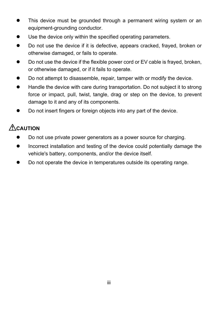- This device must be grounded through a permanent wiring system or an equipment-grounding conductor.
- Use the device only within the specified operating parameters.
- Do not use the device if it is defective, appears cracked, frayed, broken or otherwise damaged, or fails to operate.
- Do not use the device if the flexible power cord or EV cable is frayed, broken, or otherwise damaged, or if it fails to operate.
- Do not attempt to disassemble, repair, tamper with or modify the device.
- Handle the device with care during transportation. Do not subject it to strong force or impact, pull, twist, tangle, drag or step on the device, to prevent damage to it and any of its components.
- Do not insert fingers or foreign objects into any part of the device.

### **ACAUTION**

- Do not use private power generators as a power source for charging.
- Incorrect installation and testing of the device could potentially damage the vehicle's battery, components, and/or the device itself.
- Do not operate the device in temperatures outside its operating range.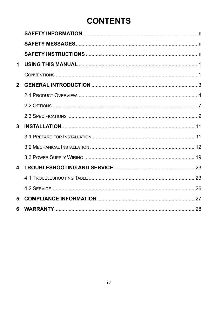### **CONTENTS**

| 1            |  |
|--------------|--|
|              |  |
| $\mathbf{2}$ |  |
|              |  |
|              |  |
|              |  |
| 3            |  |
|              |  |
|              |  |
|              |  |
| 4            |  |
|              |  |
|              |  |
|              |  |
| 5            |  |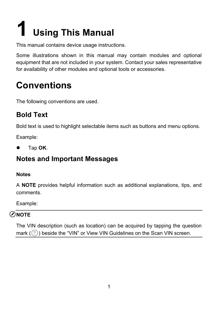## **Using This Manual**

This manual contains device usage instructions.

Some illustrations shown in this manual may contain modules and optional equipment that are not included in your system. Contact your sales representative for availability of other modules and optional tools or accessories.

### **Conventions**

The following conventions are used.

### **Bold Text**

Bold text is used to highlight selectable items such as buttons and menu options.

Example:

Tap **OK**.

### **Notes and Important Messages**

#### **Notes**

A **NOTE** provides helpful information such as additional explanations, tips, and comments.

Example:

### **NOTE**

The VIN description (such as location) can be acquired by tapping the question mark  $(\circled{?})$  beside the "VIN" or View VIN Guidelines on the Scan VIN screen.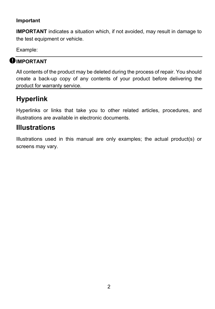#### **Important**

**IMPORTANT** indicates a situation which, if not avoided, may result in damage to the test equipment or vehicle.

Example:

### **IMPORTANT**

All contents of the product may be deleted during the process of repair. You should create a back-up copy of any contents of your product before delivering the product for warranty service.

### **Hyperlink**

Hyperlinks or links that take you to other related articles, procedures, and illustrations are available in electronic documents.

### **Illustrations**

Illustrations used in this manual are only examples; the actual product(s) or screens may vary.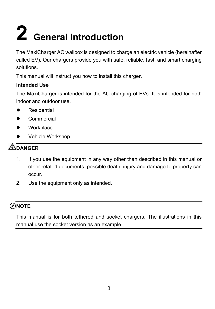## **2 General Introduction**

The MaxiCharger AC wallbox is designed to charge an electric vehicle (hereinafter called EV). Our chargers provide you with safe, reliable, fast, and smart charging solutions.

This manual will instruct you how to install this charger.

#### **Intended Use**

The MaxiCharger is intended for the AC charging of EVs. It is intended for both indoor and outdoor use.

- Residential
- **•** Commercial
- **•** Workplace
- Vehicle Workshop

### **DANGER**

- 1. If you use the equipment in any way other than described in this manual or other related documents, possible death, injury and damage to property can occur.
- 2. Use the equipment only as intended.

### **NOTE**

This manual is for both tethered and socket chargers. The illustrations in this manual use the socket version as an example.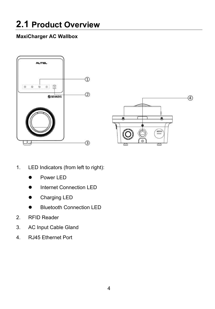### **2.1 Product Overview**

#### **MaxiCharger AC Wallbox**





- 1. LED Indicators (from left to right):
	- Power LED
	- Internet Connection LED
	- **•** Charging LED
	- Bluetooth Connection LED
- 2. RFID Reader
- 3. AC Input Cable Gland
- 4. RJ45 Ethernet Port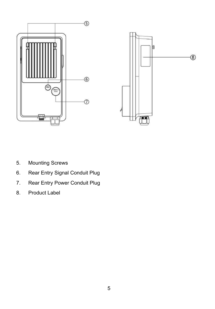



- 5. Mounting Screws
- 6. Rear Entry Signal Conduit Plug
- 7. Rear Entry Power Conduit Plug
- 8. Product Label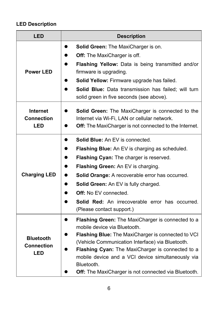### **LED Description**

| LED                                                                                                                                                                                                       | <b>Description</b>                                                                                                                                                                                                                                                                                                                                                                                               |  |
|-----------------------------------------------------------------------------------------------------------------------------------------------------------------------------------------------------------|------------------------------------------------------------------------------------------------------------------------------------------------------------------------------------------------------------------------------------------------------------------------------------------------------------------------------------------------------------------------------------------------------------------|--|
| <b>Power LED</b>                                                                                                                                                                                          | <b>Solid Green: The MaxiCharger is on.</b><br>Off: The MaxiCharger is off.<br><b>Flashing Yellow:</b> Data is being transmitted and/or<br>firmware is upgrading.<br>Solid Yellow: Firmware upgrade has failed.<br><b>Solid Blue:</b> Data transmission has failed: will turn<br>solid green in five seconds (see above).                                                                                         |  |
| Internet<br><b>Solid Green:</b> The MaxiCharger is connected to the<br>Connection<br>Internet via Wi-Fi, LAN or cellular network.<br><b>LED</b><br>Off: The MaxiCharger is not connected to the Internet. |                                                                                                                                                                                                                                                                                                                                                                                                                  |  |
| <b>Charging LED</b>                                                                                                                                                                                       | <b>Solid Blue:</b> An EV is connected.<br>Flashing Blue: An EV is charging as scheduled.<br>Flashing Cyan: The charger is reserved.<br><b>Flashing Green: An EV is charging.</b><br><b>Solid Orange:</b> A recoverable error has occurred.<br><b>Solid Green:</b> An EV is fully charged.<br><b>Off:</b> No FV connected.<br><b>Solid Red:</b> An irrecoverable error has occurred.<br>(Please contact support.) |  |
| <b>Bluetooth</b><br>Connection<br>LED                                                                                                                                                                     | <b>Flashing Green:</b> The MaxiCharger is connected to a<br>$\bullet$<br>mobile device via Bluetooth.<br>Flashing Blue: The MaxiCharger is connected to VCI<br>(Vehicle Communication Interface) via Bluetooth.<br>Flashing Cyan: The MaxiCharger is connected to a<br>mobile device and a VCI device simultaneously via<br>Bluetooth.<br><b>Off:</b> The MaxiCharger is not connected via Bluetooth.            |  |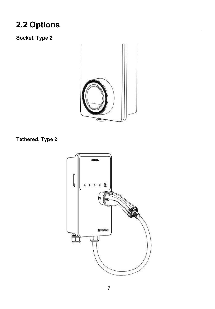### **2.2 Options**

### **Socket, Type 2**



### **Tethered, Type 2**

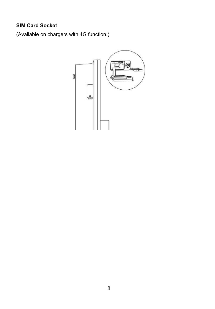#### **SIM Card Socket**

(Available on chargers with 4G function.)

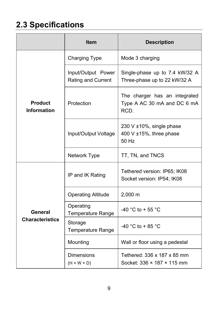### **2.3 Specifications**

|                                      | <b>Item</b>                                  | <b>Description</b>                                                   |
|--------------------------------------|----------------------------------------------|----------------------------------------------------------------------|
|                                      | <b>Charging Type</b>                         | Mode 3 charging                                                      |
|                                      | Input/Output Power<br>Rating and Current     | Single-phase up to 7.4 kW/32 A<br>Three-phase up to 22 kW/32 A       |
| <b>Product</b><br><b>Information</b> | Protection                                   | The charger has an integrated<br>Type A AC 30 mA and DC 6 mA<br>RCD. |
|                                      | Input/Output Voltage                         | 230 V ±10%, single phase<br>400 V $\pm$ 15%, three phase<br>50 Hz    |
|                                      | Network Type                                 | TT, TN, and TNCS                                                     |
|                                      | IP and IK Rating                             | Tethered version: IP65; IK08<br>Socket version: IP54; IK08           |
|                                      | <b>Operating Altitude</b>                    | $2,000 \; m$                                                         |
| General                              | Operating<br><b>Temperature Range</b>        | -40 °C to + 55 °C                                                    |
| <b>Characteristics</b>               | Storage<br>Temperature Range                 | -40 °C to + 85 °C                                                    |
|                                      | Mounting                                     | Wall or floor using a pedestal                                       |
|                                      | <b>Dimensions</b><br>$(H \times W \times D)$ | Tethered: 336 x 187 x 85 mm<br>Socket: 336 × 187 × 115 mm            |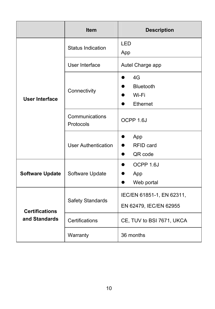|                        | <b>Item</b>                 | <b>Description</b>                                                    |  |
|------------------------|-----------------------------|-----------------------------------------------------------------------|--|
|                        | Status Indication           | LED<br>App                                                            |  |
|                        | User Interface              | Autel Charge app                                                      |  |
| User Interface         | Connectivity                | 4G<br><b>Bluetooth</b><br>Wi-Fi<br>Ethernet                           |  |
|                        | Communications<br>Protocols | OCPP 1.6J                                                             |  |
|                        | <b>User Authentication</b>  | App<br>$\bullet$<br>RFID card<br>QR code<br>$\bullet$                 |  |
| <b>Software Update</b> | Software Update             | OCPP 1.6J<br>$\bullet$<br>App<br>$\bullet$<br>Web portal<br>$\bullet$ |  |
| <b>Certifications</b>  | Safety Standards            | IEC/EN 61851-1, EN 62311,<br>EN 62479, IEC/EN 62955                   |  |
| and Standards          | Certifications              | CE, TUV to BSI 7671, UKCA                                             |  |
|                        | Warranty                    | 36 months                                                             |  |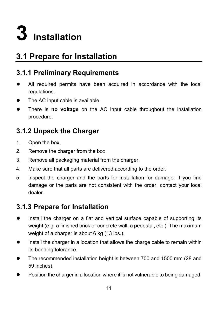

### **3.1 Prepare for Installation**

### **3.1.1 Preliminary Requirements**

- All required permits have been acquired in accordance with the local regulations.
- The AC input cable is available.
- There is **no voltage** on the AC input cable throughout the installation procedure.

### **3.1.2 Unpack the Charger**

- 1. Open the box.
- 2. Remove the charger from the box.
- 3. Remove all packaging material from the charger.
- 4. Make sure that all parts are delivered according to the order.
- 5. Inspect the charger and the parts for installation for damage. If you find damage or the parts are not consistent with the order, contact your local dealer.

### **3.1.3 Prepare for Installation**

- Install the charger on a flat and vertical surface capable of supporting its weight (e.g. a finished brick or concrete wall, a pedestal, etc.). The maximum weight of a charger is about 6 kg (13 lbs.).
- **Install the charger in a location that allows the charge cable to remain within** its bending tolerance.
- The recommended installation height is between 700 and 1500 mm (28 and 59 inches).
- Position the charger in a location where it is not vulnerable to being damaged.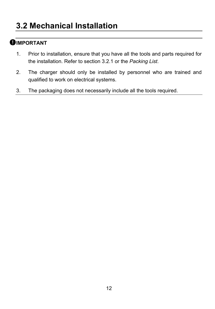### **OIMPORTANT**

- 1. Prior to installation, ensure that you have all the tools and parts required for the installation. Refer to section 3.2.1 or the *Packing List*.
- 2. The charger should only be installed by personnel who are trained and qualified to work on electrical systems.
- 3. The packaging does not necessarily include all the tools required.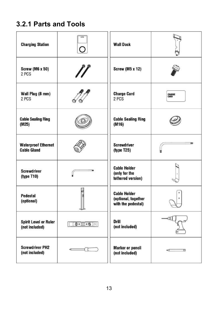### **3.2.1 Parts and Tools**

| <b>Charging Station</b>                          | ◠                               | <b>Wall Dock</b>                                                 |                |
|--------------------------------------------------|---------------------------------|------------------------------------------------------------------|----------------|
| <b>Screw (M6 x 50)</b><br>2 PCS                  |                                 | <b>Screw (M5 x 12)</b>                                           |                |
| Wall Plug (8 mm)<br>2 PCS                        |                                 | <b>Charge Card</b><br>2 PCS                                      | CHARGE<br>CARD |
| <b>Cable Sealing Ring</b><br>(M25)               |                                 | <b>Cable Sealing Ring</b><br>(M16)                               |                |
| <b>Waterproof Ethernet</b><br><b>Cable Gland</b> |                                 | <b>Screwdriver</b><br>(type T25)                                 |                |
| <b>Screwdriver</b><br>(type T10)                 |                                 | <b>Cable Holder</b><br>(only for the<br>tethered version)        |                |
| <b>Pedestal</b><br>(optional)                    |                                 | <b>Cable Holder</b><br>(optional, together<br>with the pedestal) |                |
| <b>Spirit Level or Ruler</b><br>(not included)   | $\circ$ $\circ$ $\circ$ $\circ$ | Drill<br>(not included)                                          |                |
| <b>Screwdriver PH2</b><br>(not included)         |                                 | Marker or pencil<br>(not included)                               | ⊄<br>m         |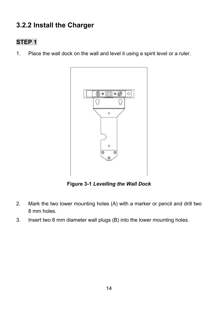### **3.2.2 Install the Charger**

### **STEP 1**

1. Place the wall dock on the wall and level it using a spirit level or a ruler.



**Figure 3-1** *Levelling the Wall Dock*

- 2. Mark the two lower mounting holes (A) with a marker or pencil and drill two 8 mm holes.
- 3. Insert two 8 mm diameter wall plugs (B) into the lower mounting holes.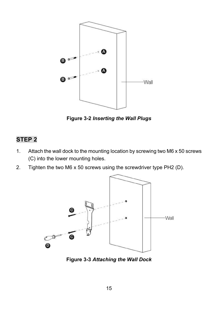

**Figure 3-2** *Inserting the Wall Plugs*

### **STEP 2**

- 1. Attach the wall dock to the mounting location by screwing two M6 x 50 screws (C) into the lower mounting holes.
- 2. Tighten the two M6 x 50 screws using the screwdriver type PH2 (D).



**Figure 3-3** *Attaching the Wall Dock*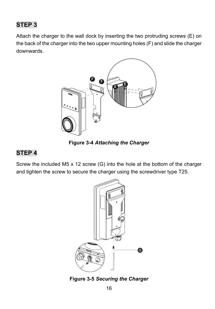### **STEP 3**

Attach the charger to the wall dock by inserting the two protruding screws (E) on the back of the charger into the two upper mounting holes (F) and slide the charger downwards.



**Figure 3-4** *Attaching the Charger*

### **STEP 4**

Screw the included M5 x 12 screw (G) into the hole at the bottom of the charger and tighten the screw to secure the charger using the screwdriver type T25.



**Figure 3-5** *Securing the Charger*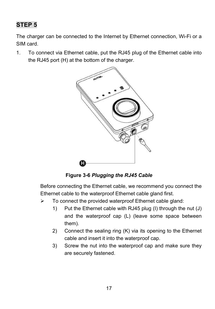### **STEP 5**

The charger can be connected to the Internet by Ethernet connection, Wi-Fi or a SIM card.

1. To connect via Ethernet cable, put the RJ45 plug of the Ethernet cable into the RJ45 port (H) at the bottom of the charger.



**Figure 3-6** *Plugging the RJ45 Cable*

Before connecting the Ethernet cable, we recommend you connect the Ethernet cable to the waterproof Ethernet cable gland first.

- $\triangleright$  To connect the provided waterproof Ethernet cable gland:
	- 1) Put the Ethernet cable with RJ45 plug (I) through the nut (J) and the waterproof cap (L) (leave some space between them).
	- 2) Connect the sealing ring (K) via its opening to the Ethernet cable and insert it into the waterproof cap.
	- 3) Screw the nut into the waterproof cap and make sure they are securely fastened.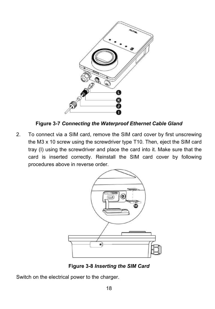

**Figure 3-7** *Connecting the Waterproof Ethernet Cable Gland*

2. To connect via a SIM card, remove the SIM card cover by first unscrewing the M3 x 10 screw using the screwdriver type T10. Then, eject the SIM card tray (I) using the screwdriver and place the card into it. Make sure that the card is inserted correctly. Reinstall the SIM card cover by following procedures above in reverse order.



**Figure 3-8** *Inserting the SIM Card*

Switch on the electrical power to the charger.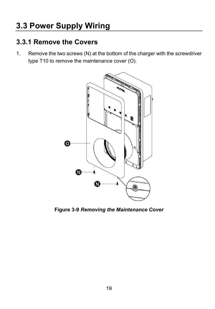### **3.3 Power Supply Wiring**

### **3.3.1 Remove the Covers**

1. Remove the two screws (N) at the bottom of the charger with the screwdriver type T10 to remove the maintenance cover (O).



**Figure 3-9** *Removing the Maintenance Cover*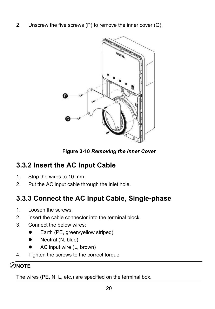2. Unscrew the five screws  $(P)$  to remove the inner cover  $(Q)$ .



**Figure 3-10** *Removing the Inner Cover*

### **3.3.2 Insert the AC Input Cable**

- 1. Strip the wires to 10 mm.
- 2. Put the AC input cable through the inlet hole.

### **3.3.3 Connect the AC Input Cable, Single-phase**

- 1. Loosen the screws.
- 2. Insert the cable connector into the terminal block.
- 3. Connect the below wires:
	- Earth (PE, green/yellow striped)
	- $\bullet$  Neutral (N, blue)
	- AC input wire (L, brown)
- 4. Tighten the screws to the correct torque.

### ⊘ิ่<br>NOTE

The wires (PE, N, L, etc.) are specified on the terminal box.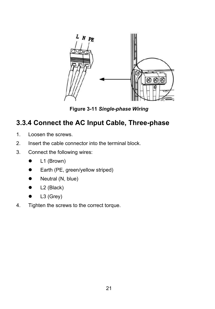

**Figure 3-11** *Single-phase Wiring*

### **3.3.4 Connect the AC Input Cable, Three-phase**

- 1. Loosen the screws.
- 2. Insert the cable connector into the terminal block.
- 3. Connect the following wires:
	- L1 (Brown)
	- Earth (PE, green/yellow striped)
	- Neutral (N, blue)
	- $\bullet$  L2 (Black)
	- $\bullet$  L3 (Grey)
- 4. Tighten the screws to the correct torque.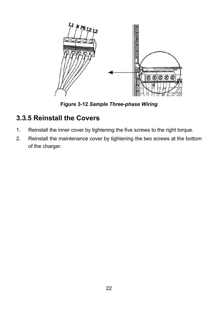

**Figure 3-12** *Sample Three-phase Wiring*

### **3.3.5 Reinstall the Covers**

- 1. Reinstall the inner cover by tightening the five screws to the right torque.
- 2. Reinstall the maintenance cover by tightening the two screws at the bottom of the charger.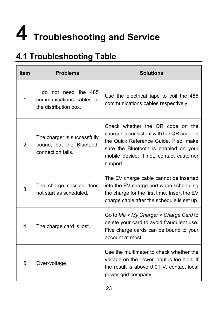## **4 Troubleshooting and Service**

### **4.1 Troubleshooting Table**

| <b>Item</b>    | <b>Problems</b>                                                              | <b>Solutions</b>                                                                                                                                                                                                        |
|----------------|------------------------------------------------------------------------------|-------------------------------------------------------------------------------------------------------------------------------------------------------------------------------------------------------------------------|
| 1              | I do not need the 485<br>communications cables to<br>the distribution box.   | Use the electrical tape to coil the 485<br>communications cables respectively.                                                                                                                                          |
| $\overline{2}$ | The charger is successfully<br>bound, but the Bluetooth<br>connection fails. | Check whether the QR code on the<br>charger is consistent with the QR code on<br>the Quick Reference Guide. If so, make<br>sure the Bluetooth is enabled on your<br>mobile device; if not, contact customer<br>support. |
| 3              | The charge session does<br>not start as scheduled.                           | The EV charge cable cannot be inserted<br>into the EV charge port when scheduling<br>the charge for the first time. Insert the EV<br>charge cable after the schedule is set up.                                         |
| 4              | The charge card is lost.                                                     | Go to Me > My Charger > Charge Card to<br>delete your card to avoid fraudulent use.<br>Five charge cards can be bound to your<br>account at most.                                                                       |
| 5              | Over-voltage                                                                 | Use the multimeter to check whether the<br>voltage on the power input is too high. If<br>the result is above 0.01 V, contact local<br>power grid company.                                                               |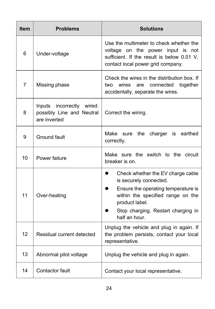| <b>Item</b>    | <b>Problems</b>                                                        | <b>Solutions</b>                                                                                                                                                                                                                           |  |
|----------------|------------------------------------------------------------------------|--------------------------------------------------------------------------------------------------------------------------------------------------------------------------------------------------------------------------------------------|--|
| 6              | Under-voltage                                                          | Use the multimeter to check whether the<br>voltage on the power input is not<br>sufficient. If the result is below 0.01 V,<br>contact local power grid company.                                                                            |  |
| $\overline{7}$ | Missing phase                                                          | Check the wires in the distribution box. If<br>two wires<br>connected together<br>are<br>accidentally, separate the wires.                                                                                                                 |  |
| 8              | Inputs incorrectly wired:<br>possibly Line and Neutral<br>are inverted | Correct the wiring.                                                                                                                                                                                                                        |  |
| 9              | Ground fault                                                           | Make sure the charger is earthed<br>correctly.                                                                                                                                                                                             |  |
| 10             | Power failure                                                          | Make sure the switch to the circuit<br>breaker is on.                                                                                                                                                                                      |  |
| 11             | Over-heating                                                           | Check whether the EV charge cable<br>$\bullet$<br>is securely connected.<br>Ensure the operating temperature is<br>$\bullet$<br>within the specified range on the<br>product label.<br>Stop charging. Restart charging in<br>half an hour. |  |
| 12             | Residual current detected                                              | Unplug the vehicle and plug in again. If<br>the problem persists, contact your local<br>representative.                                                                                                                                    |  |
| 13             | Abnormal pilot voltage                                                 | Unplug the vehicle and plug in again.                                                                                                                                                                                                      |  |
| 14             | Contactor fault                                                        | Contact your local representative.                                                                                                                                                                                                         |  |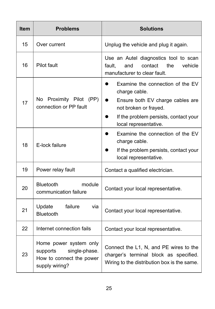| <b>Item</b> | <b>Problems</b>                                                                                   | <b>Solutions</b>                                                                                                                                                                 |
|-------------|---------------------------------------------------------------------------------------------------|----------------------------------------------------------------------------------------------------------------------------------------------------------------------------------|
| 15          | Over current                                                                                      | Unplug the vehicle and plug it again.                                                                                                                                            |
| 16          | Pilot fault                                                                                       | Use an Autel diagnostics tool to scan<br>contact<br>the<br>fault.<br>and<br>vehicle<br>manufacturer to clear fault.                                                              |
| 17          | Proximity Pilot (PP)<br>No<br>connection or PP fault                                              | Examine the connection of the EV<br>charge cable.<br>Ensure both EV charge cables are<br>not broken or frayed.<br>If the problem persists, contact your<br>local representative. |
| 18          | E-lock failure                                                                                    | Examine the connection of the EV<br>charge cable.<br>If the problem persists, contact your<br>local representative.                                                              |
| 19          | Power relay fault                                                                                 | Contact a qualified electrician.                                                                                                                                                 |
| 20          | <b>Bluetooth</b><br>module<br>communication failure                                               | Contact your local representative.                                                                                                                                               |
| 21          | failure<br>Update<br>via<br>Bluetooth                                                             | Contact your local representative.                                                                                                                                               |
| 22          | Internet connection fails                                                                         | Contact your local representative.                                                                                                                                               |
| 23          | Home power system only<br>single-phase.<br>supports<br>How to connect the power<br>supply wiring? | Connect the L1, N, and PE wires to the<br>charger's terminal block as specified.<br>Wiring to the distribution box is the same.                                                  |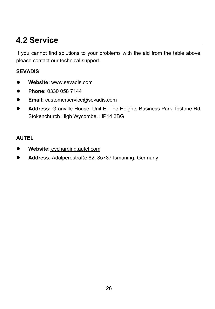### **4.2 Service**

If you cannot find solutions to your problems with the aid from the table above, please contact our technical support.

#### **SEVADIS**

- **Website:** www.sevadis.com
- **Phone:** 0330 058 7144
- **Email:** customerservice@sevadis.com
- **Address:** Granville House, Unit E, The Heights Business Park, Ibstone Rd, Stokenchurch High Wycombe, HP14 3BG

#### **AUTEL**

- **Website:** evcharging.autel.com
- **Address***:* Adalperostraße 82, 85737 Ismaning, Germany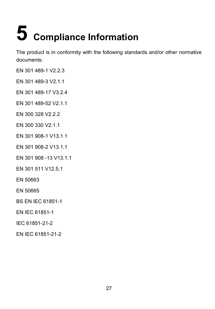# **5 Compliance Information**

The product is in conformity with the following standards and/or other normative documents:

- EN 301 489-1 V2.2.3
- EN 301 489-3 V2.1.1
- EN 301 489-17 V3.2.4
- EN 301 489-52 V2.1.1
- EN 300 328 V2.2.2
- EN 300 330 V2.1.1
- EN 301 908-1 V13.1.1
- EN 301 908-2 V13.1.1
- EN 301 908 -13 V13.1.1
- EN 301 511 V12.5.1
- EN 50663
- EN 50665
- BS EN IEC 61851-1
- EN IEC 61851-1
- IEC 61851-21-2
- EN IEC 61851-21-2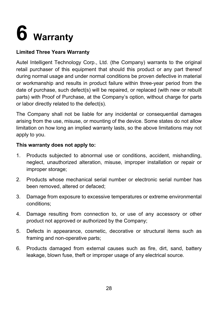## **6 Warranty**

#### **Limited Three Years Warranty**

Autel Intelligent Technology Corp., Ltd. (the Company) warrants to the original retail purchaser of this equipment that should this product or any part thereof during normal usage and under normal conditions be proven defective in material or workmanship and results in product failure within three-year period from the date of purchase, such defect(s) will be repaired, or replaced (with new or rebuilt parts) with Proof of Purchase, at the Company's option, without charge for parts or labor directly related to the defect(s).

The Company shall not be liable for any incidental or consequential damages arising from the use, misuse, or mounting of the device. Some states do not allow limitation on how long an implied warranty lasts, so the above limitations may not apply to you.

#### **This warranty does not apply to:**

- 1. Products subjected to abnormal use or conditions, accident, mishandling, neglect, unauthorized alteration, misuse, improper installation or repair or improper storage;
- 2. Products whose mechanical serial number or electronic serial number has been removed, altered or defaced;
- 3. Damage from exposure to excessive temperatures or extreme environmental conditions;
- 4. Damage resulting from connection to, or use of any accessory or other product not approved or authorized by the Company;
- 5. Defects in appearance, cosmetic, decorative or structural items such as framing and non-operative parts;
- 6. Products damaged from external causes such as fire, dirt, sand, battery leakage, blown fuse, theft or improper usage of any electrical source.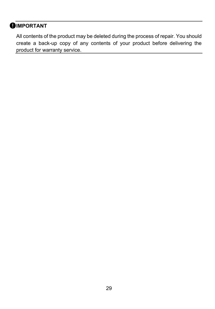### **OIMPORTANT**

All contents of the product may be deleted during the process of repair. You should create a back-up copy of any contents of your product before delivering the product for warranty service.